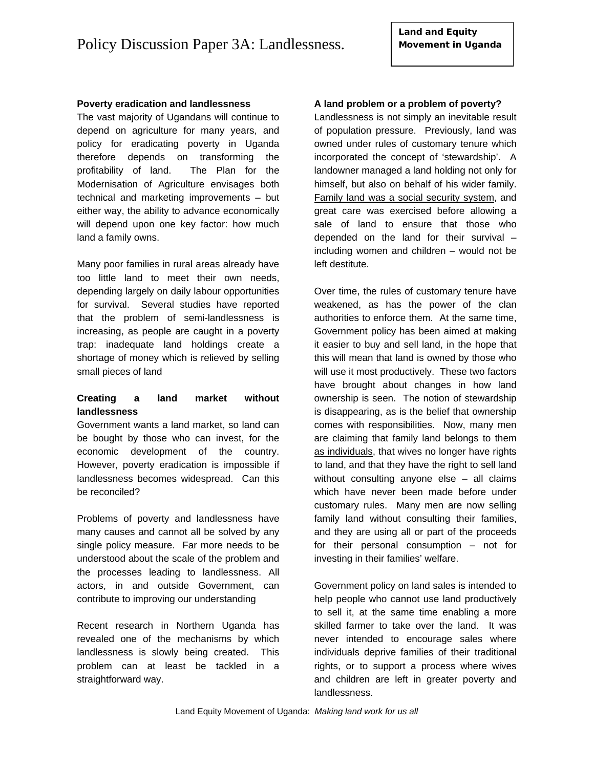## **Poverty eradication and landlessness**

The vast majority of Ugandans will continue to depend on agriculture for many years, and policy for eradicating poverty in Uganda therefore depends on transforming the profitability of land. The Plan for the Modernisation of Agriculture envisages both technical and marketing improvements – but either way, the ability to advance economically will depend upon one key factor: how much land a family owns.

Many poor families in rural areas already have too little land to meet their own needs, depending largely on daily labour opportunities for survival. Several studies have reported that the problem of semi-landlessness is increasing, as people are caught in a poverty trap: inadequate land holdings create a shortage of money which is relieved by selling small pieces of land

# **Creating a land market without landlessness**

Government wants a land market, so land can be bought by those who can invest, for the economic development of the country. However, poverty eradication is impossible if landlessness becomes widespread. Can this be reconciled?

Problems of poverty and landlessness have many causes and cannot all be solved by any single policy measure. Far more needs to be understood about the scale of the problem and the processes leading to landlessness. All actors, in and outside Government, can contribute to improving our understanding

Recent research in Northern Uganda has revealed one of the mechanisms by which landlessness is slowly being created. This problem can at least be tackled in a straightforward way.

### **A land problem or a problem of poverty?**

Landlessness is not simply an inevitable result of population pressure. Previously, land was owned under rules of customary tenure which incorporated the concept of 'stewardship'. A landowner managed a land holding not only for himself, but also on behalf of his wider family. Family land was a social security system, and great care was exercised before allowing a sale of land to ensure that those who depended on the land for their survival – including women and children – would not be left destitute.

Over time, the rules of customary tenure have weakened, as has the power of the clan authorities to enforce them. At the same time, Government policy has been aimed at making it easier to buy and sell land, in the hope that this will mean that land is owned by those who will use it most productively. These two factors have brought about changes in how land ownership is seen. The notion of stewardship is disappearing, as is the belief that ownership comes with responsibilities. Now, many men are claiming that family land belongs to them as individuals, that wives no longer have rights to land, and that they have the right to sell land without consulting anyone else – all claims which have never been made before under customary rules. Many men are now selling family land without consulting their families, and they are using all or part of the proceeds for their personal consumption – not for investing in their families' welfare.

Government policy on land sales is intended to help people who cannot use land productively to sell it, at the same time enabling a more skilled farmer to take over the land. It was never intended to encourage sales where individuals deprive families of their traditional rights, or to support a process where wives and children are left in greater poverty and landlessness.